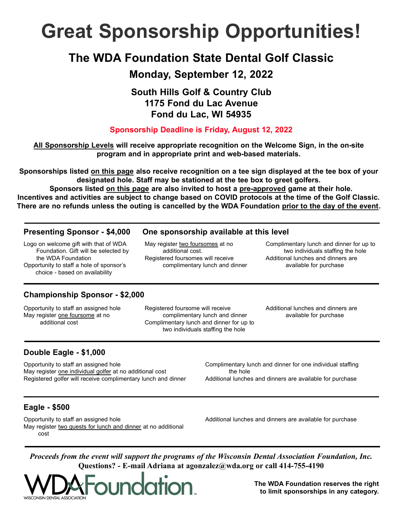# Great Sponsorship Opportunities!

## The WDA Foundation State Dental Golf Classic

### Monday, September 12, 2022

### South Hills Golf & Country Club 1175 Fond du Lac Avenue Fond du Lac, WI 54935

#### Sponsorship Deadline is Friday, August 12, 2022

All Sponsorship Levels will receive appropriate recognition on the Welcome Sign, in the on-site program and in appropriate print and web-based materials.

Sponsorships listed on this page also receive recognition on a tee sign displayed at the tee box of your designated hole. Staff may be stationed at the tee box to greet golfers.

Sponsors listed on this page are also invited to host a pre-approved game at their hole. Incentives and activities are subject to change based on COVID protocols at the time of the Golf Classic. There are no refunds unless the outing is cancelled by the WDA Foundation prior to the day of the event.

Logo on welcome gift with that of WDA Foundation. Gift will be selected by the WDA Foundation Opportunity to staff a hole of sponsor's choice - based on availability

#### Presenting Sponsor - \$4,000 One sponsorship available at this level

May register two foursomes at no additional cost. Registered foursomes will receive complimentary lunch and dinner Complimentary lunch and dinner for up to two individuals staffing the hole Additional lunches and dinners are available for purchase

#### Championship Sponsor - \$2,000

Opportunity to staff an assigned hole May register one foursome at no additional cost

Registered foursome will receive complimentary lunch and dinner Complimentary lunch and dinner for up to two individuals staffing the hole

Additional lunches and dinners are available for purchase

#### Double Eagle - \$1,000

Opportunity to staff an assigned hole May register one individual golfer at no additional cost Registered golfer will receive complimentary lunch and dinner Complimentary lunch and dinner for one individual staffing the hole

Additional lunches and dinners are available for purchase

#### Eagle - \$500

Opportunity to staff an assigned hole May register two guests for lunch and dinner at no additional cost

Additional lunches and dinners are available for purchase

Proceeds from the event will support the programs of the Wisconsin Dental Association Foundation, Inc. Questions? - E-mail Adriana at agonzalez@wda.org or call 414-755-4190



The WDA Foundation reserves the right to limit sponsorships in any category.